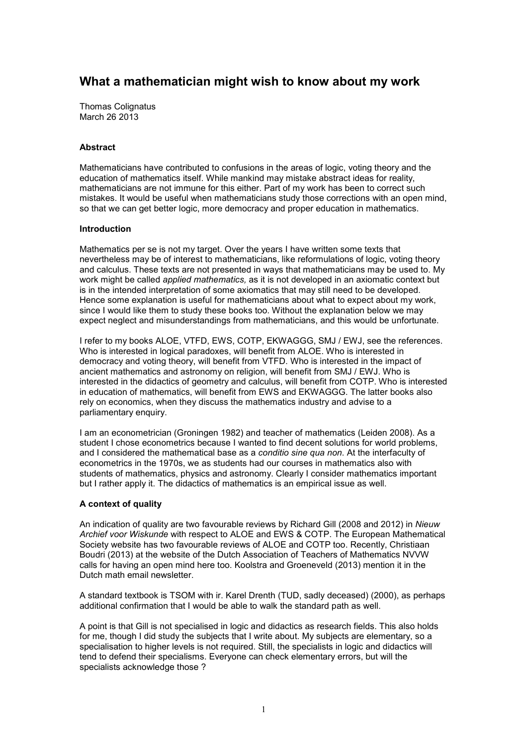# What a mathematician might wish to know about my work

Thomas Colignatus March 26 2013

# Abstract

Mathematicians have contributed to confusions in the areas of logic, voting theory and the education of mathematics itself. While mankind may mistake abstract ideas for reality, mathematicians are not immune for this either. Part of my work has been to correct such mistakes. It would be useful when mathematicians study those corrections with an open mind, so that we can get better logic, more democracy and proper education in mathematics.

# Introduction

Mathematics per se is not my target. Over the years I have written some texts that nevertheless may be of interest to mathematicians, like reformulations of logic, voting theory and calculus. These texts are not presented in ways that mathematicians may be used to. My work might be called *applied mathematics*, as it is not developed in an axiomatic context but is in the intended interpretation of some axiomatics that may still need to be developed. Hence some explanation is useful for mathematicians about what to expect about my work, since I would like them to study these books too. Without the explanation below we may expect neglect and misunderstandings from mathematicians, and this would be unfortunate.

I refer to my books ALOE, VTFD, EWS, COTP, EKWAGGG, SMJ / EWJ, see the references. Who is interested in logical paradoxes, will benefit from ALOE. Who is interested in democracy and voting theory, will benefit from VTFD. Who is interested in the impact of ancient mathematics and astronomy on religion, will benefit from SMJ / EWJ. Who is interested in the didactics of geometry and calculus, will benefit from COTP. Who is interested in education of mathematics, will benefit from EWS and EKWAGGG. The latter books also rely on economics, when they discuss the mathematics industry and advise to a parliamentary enquiry.

I am an econometrician (Groningen 1982) and teacher of mathematics (Leiden 2008). As a student I chose econometrics because I wanted to find decent solutions for world problems, and I considered the mathematical base as a conditio sine qua non. At the interfaculty of econometrics in the 1970s, we as students had our courses in mathematics also with students of mathematics, physics and astronomy. Clearly I consider mathematics important but I rather apply it. The didactics of mathematics is an empirical issue as well.

# A context of quality

An indication of quality are two favourable reviews by Richard Gill (2008 and 2012) in Nieuw Archief voor Wiskunde with respect to ALOE and EWS & COTP. The European Mathematical Society website has two favourable reviews of ALOE and COTP too. Recently, Christiaan Boudri (2013) at the website of the Dutch Association of Teachers of Mathematics NVVW calls for having an open mind here too. Koolstra and Groeneveld (2013) mention it in the Dutch math email newsletter.

A standard textbook is TSOM with ir. Karel Drenth (TUD, sadly deceased) (2000), as perhaps additional confirmation that I would be able to walk the standard path as well.

A point is that Gill is not specialised in logic and didactics as research fields. This also holds for me, though I did study the subjects that I write about. My subjects are elementary, so a specialisation to higher levels is not required. Still, the specialists in logic and didactics will tend to defend their specialisms. Everyone can check elementary errors, but will the specialists acknowledge those ?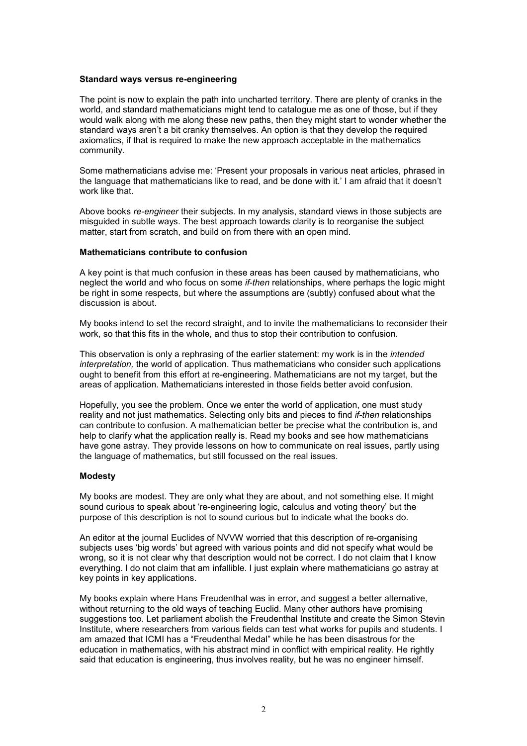#### Standard ways versus re-engineering

The point is now to explain the path into uncharted territory. There are plenty of cranks in the world, and standard mathematicians might tend to catalogue me as one of those, but if they would walk along with me along these new paths, then they might start to wonder whether the standard ways aren't a bit cranky themselves. An option is that they develop the required axiomatics, if that is required to make the new approach acceptable in the mathematics community.

Some mathematicians advise me: 'Present your proposals in various neat articles, phrased in the language that mathematicians like to read, and be done with it.' I am afraid that it doesn't work like that.

Above books re-engineer their subjects. In my analysis, standard views in those subjects are misguided in subtle ways. The best approach towards clarity is to reorganise the subject matter, start from scratch, and build on from there with an open mind.

#### Mathematicians contribute to confusion

A key point is that much confusion in these areas has been caused by mathematicians, who neglect the world and who focus on some if-then relationships, where perhaps the logic might be right in some respects, but where the assumptions are (subtly) confused about what the discussion is about.

My books intend to set the record straight, and to invite the mathematicians to reconsider their work, so that this fits in the whole, and thus to stop their contribution to confusion.

This observation is only a rephrasing of the earlier statement: my work is in the *intended* interpretation, the world of application. Thus mathematicians who consider such applications ought to benefit from this effort at re-engineering. Mathematicians are not my target, but the areas of application. Mathematicians interested in those fields better avoid confusion.

Hopefully, you see the problem. Once we enter the world of application, one must study reality and not just mathematics. Selecting only bits and pieces to find *if-then* relationships can contribute to confusion. A mathematician better be precise what the contribution is, and help to clarify what the application really is. Read my books and see how mathematicians have gone astray. They provide lessons on how to communicate on real issues, partly using the language of mathematics, but still focussed on the real issues.

#### Modesty

My books are modest. They are only what they are about, and not something else. It might sound curious to speak about 're-engineering logic, calculus and voting theory' but the purpose of this description is not to sound curious but to indicate what the books do.

An editor at the journal Euclides of NVVW worried that this description of re-organising subjects uses 'big words' but agreed with various points and did not specify what would be wrong, so it is not clear why that description would not be correct. I do not claim that I know everything. I do not claim that am infallible. I just explain where mathematicians go astray at key points in key applications.

My books explain where Hans Freudenthal was in error, and suggest a better alternative, without returning to the old ways of teaching Euclid. Many other authors have promising suggestions too. Let parliament abolish the Freudenthal Institute and create the Simon Stevin Institute, where researchers from various fields can test what works for pupils and students. I am amazed that ICMI has a "Freudenthal Medal" while he has been disastrous for the education in mathematics, with his abstract mind in conflict with empirical reality. He rightly said that education is engineering, thus involves reality, but he was no engineer himself.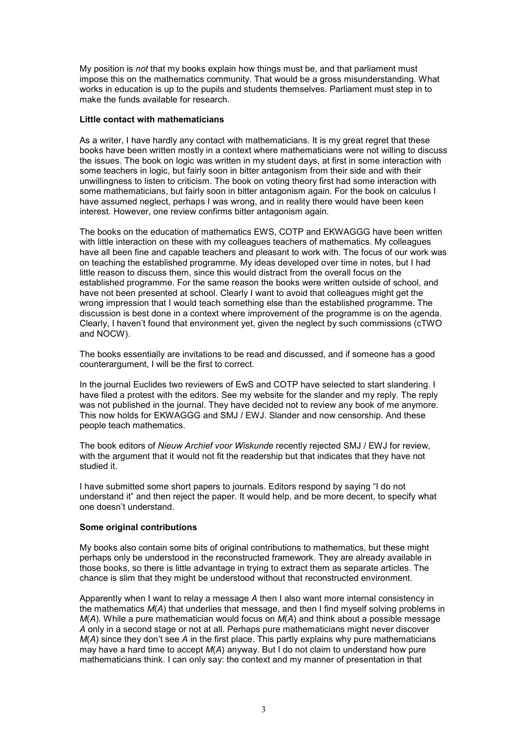My position is not that my books explain how things must be, and that parliament must impose this on the mathematics community. That would be a gross misunderstanding. What works in education is up to the pupils and students themselves. Parliament must step in to make the funds available for research.

### Little contact with mathematicians

As a writer, I have hardly any contact with mathematicians. It is my great regret that these books have been written mostly in a context where mathematicians were not willing to discuss the issues. The book on logic was written in my student days, at first in some interaction with some teachers in logic, but fairly soon in bitter antagonism from their side and with their unwillingness to listen to criticism. The book on voting theory first had some interaction with some mathematicians, but fairly soon in bitter antagonism again. For the book on calculus I have assumed neglect, perhaps I was wrong, and in reality there would have been keen interest. However, one review confirms bitter antagonism again.

The books on the education of mathematics EWS, COTP and EKWAGGG have been written with little interaction on these with my colleagues teachers of mathematics. My colleagues have all been fine and capable teachers and pleasant to work with. The focus of our work was on teaching the established programme. My ideas developed over time in notes, but I had little reason to discuss them, since this would distract from the overall focus on the established programme. For the same reason the books were written outside of school, and have not been presented at school. Clearly I want to avoid that colleagues might get the wrong impression that I would teach something else than the established programme. The discussion is best done in a context where improvement of the programme is on the agenda. Clearly, I haven't found that environment yet, given the neglect by such commissions (cTWO and NOCW).

The books essentially are invitations to be read and discussed, and if someone has a good counterargument, I will be the first to correct.

In the journal Euclides two reviewers of EwS and COTP have selected to start slandering. I have filed a protest with the editors. See my website for the slander and my reply. The reply was not published in the journal. They have decided not to review any book of me anymore. This now holds for EKWAGGG and SMJ / EWJ. Slander and now censorship. And these people teach mathematics.

The book editors of Nieuw Archief voor Wiskunde recently rejected SMJ / EWJ for review, with the argument that it would not fit the readership but that indicates that they have not studied it.

I have submitted some short papers to journals. Editors respond by saying "I do not understand it" and then reject the paper. It would help, and be more decent, to specify what one doesn't understand.

#### Some original contributions

My books also contain some bits of original contributions to mathematics, but these might perhaps only be understood in the reconstructed framework. They are already available in those books, so there is little advantage in trying to extract them as separate articles. The chance is slim that they might be understood without that reconstructed environment.

Apparently when I want to relay a message A then I also want more internal consistency in the mathematics  $M(A)$  that underlies that message, and then I find myself solving problems in  $M(A)$ . While a pure mathematician would focus on  $M(A)$  and think about a possible message A only in a second stage or not at all. Perhaps pure mathematicians might never discover  $M(A)$  since they don't see A in the first place. This partly explains why pure mathematicians may have a hard time to accept  $M(A)$  anyway. But I do not claim to understand how pure mathematicians think. I can only say: the context and my manner of presentation in that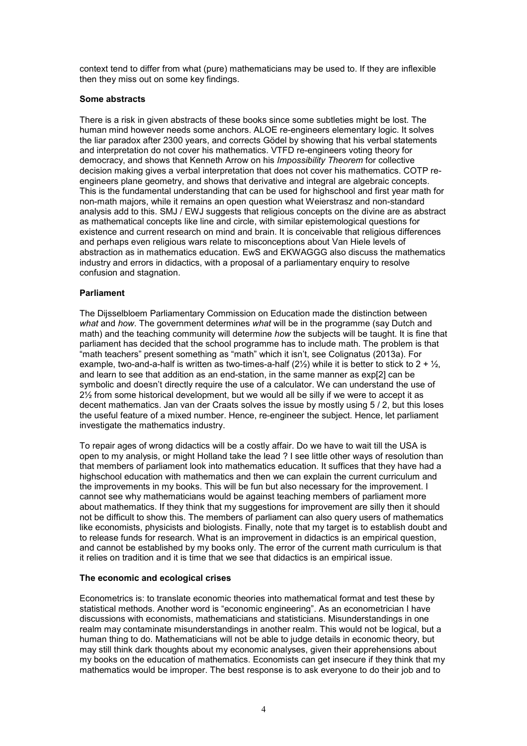context tend to differ from what (pure) mathematicians may be used to. If they are inflexible then they miss out on some key findings.

# Some abstracts

There is a risk in given abstracts of these books since some subtleties might be lost. The human mind however needs some anchors. ALOE re-engineers elementary logic. It solves the liar paradox after 2300 years, and corrects Gödel by showing that his verbal statements and interpretation do not cover his mathematics. VTFD re-engineers voting theory for democracy, and shows that Kenneth Arrow on his Impossibility Theorem for collective decision making gives a verbal interpretation that does not cover his mathematics. COTP reengineers plane geometry, and shows that derivative and integral are algebraic concepts. This is the fundamental understanding that can be used for highschool and first year math for non-math majors, while it remains an open question what Weierstrasz and non-standard analysis add to this. SMJ / EWJ suggests that religious concepts on the divine are as abstract as mathematical concepts like line and circle, with similar epistemological questions for existence and current research on mind and brain. It is conceivable that religious differences and perhaps even religious wars relate to misconceptions about Van Hiele levels of abstraction as in mathematics education. EwS and EKWAGGG also discuss the mathematics industry and errors in didactics, with a proposal of a parliamentary enquiry to resolve confusion and stagnation.

# Parliament

The Dijsselbloem Parliamentary Commission on Education made the distinction between what and how. The government determines what will be in the programme (say Dutch and math) and the teaching community will determine how the subjects will be taught. It is fine that parliament has decided that the school programme has to include math. The problem is that "math teachers" present something as "math" which it isn't, see Colignatus (2013a). For example, two-and-a-half is written as two-times-a-half  $(2\frac{1}{2})$  while it is better to stick to  $2 + \frac{1}{2}$ , and learn to see that addition as an end-station, in the same manner as exp[2] can be symbolic and doesn't directly require the use of a calculator. We can understand the use of 2½ from some historical development, but we would all be silly if we were to accept it as decent mathematics. Jan van der Craats solves the issue by mostly using 5 / 2, but this loses the useful feature of a mixed number. Hence, re-engineer the subject. Hence, let parliament investigate the mathematics industry.

To repair ages of wrong didactics will be a costly affair. Do we have to wait till the USA is open to my analysis, or might Holland take the lead ? I see little other ways of resolution than that members of parliament look into mathematics education. It suffices that they have had a highschool education with mathematics and then we can explain the current curriculum and the improvements in my books. This will be fun but also necessary for the improvement. I cannot see why mathematicians would be against teaching members of parliament more about mathematics. If they think that my suggestions for improvement are silly then it should not be difficult to show this. The members of parliament can also query users of mathematics like economists, physicists and biologists. Finally, note that my target is to establish doubt and to release funds for research. What is an improvement in didactics is an empirical question, and cannot be established by my books only. The error of the current math curriculum is that it relies on tradition and it is time that we see that didactics is an empirical issue.

#### The economic and ecological crises

Econometrics is: to translate economic theories into mathematical format and test these by statistical methods. Another word is "economic engineering". As an econometrician I have discussions with economists, mathematicians and statisticians. Misunderstandings in one realm may contaminate misunderstandings in another realm. This would not be logical, but a human thing to do. Mathematicians will not be able to judge details in economic theory, but may still think dark thoughts about my economic analyses, given their apprehensions about my books on the education of mathematics. Economists can get insecure if they think that my mathematics would be improper. The best response is to ask everyone to do their job and to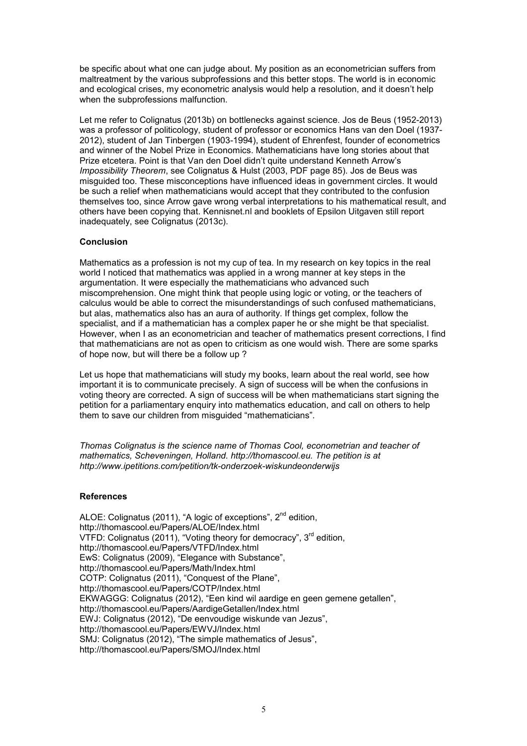be specific about what one can judge about. My position as an econometrician suffers from maltreatment by the various subprofessions and this better stops. The world is in economic and ecological crises, my econometric analysis would help a resolution, and it doesn't help when the subprofessions malfunction.

Let me refer to Colignatus (2013b) on bottlenecks against science. Jos de Beus (1952-2013) was a professor of politicology, student of professor or economics Hans van den Doel (1937- 2012), student of Jan Tinbergen (1903-1994), student of Ehrenfest, founder of econometrics and winner of the Nobel Prize in Economics. Mathematicians have long stories about that Prize etcetera. Point is that Van den Doel didn't quite understand Kenneth Arrow's Impossibility Theorem, see Colignatus & Hulst (2003, PDF page 85). Jos de Beus was misguided too. These misconceptions have influenced ideas in government circles. It would be such a relief when mathematicians would accept that they contributed to the confusion themselves too, since Arrow gave wrong verbal interpretations to his mathematical result, and others have been copying that. Kennisnet.nl and booklets of Epsilon Uitgaven still report inadequately, see Colignatus (2013c).

# Conclusion

Mathematics as a profession is not my cup of tea. In my research on key topics in the real world I noticed that mathematics was applied in a wrong manner at key steps in the argumentation. It were especially the mathematicians who advanced such miscomprehension. One might think that people using logic or voting, or the teachers of calculus would be able to correct the misunderstandings of such confused mathematicians, but alas, mathematics also has an aura of authority. If things get complex, follow the specialist, and if a mathematician has a complex paper he or she might be that specialist. However, when I as an econometrician and teacher of mathematics present corrections, I find that mathematicians are not as open to criticism as one would wish. There are some sparks of hope now, but will there be a follow up ?

Let us hope that mathematicians will study my books, learn about the real world, see how important it is to communicate precisely. A sign of success will be when the confusions in voting theory are corrected. A sign of success will be when mathematicians start signing the petition for a parliamentary enquiry into mathematics education, and call on others to help them to save our children from misguided "mathematicians".

Thomas Colignatus is the science name of Thomas Cool, econometrian and teacher of mathematics, Scheveningen, Holland. http://thomascool.eu. The petition is at http://www.ipetitions.com/petition/tk-onderzoek-wiskundeonderwijs

# **References**

ALOE: Colignatus (2011), "A logic of exceptions", 2<sup>nd</sup> edition, http://thomascool.eu/Papers/ALOE/Index.html VTFD: Colignatus (2011), "Voting theory for democracy", 3<sup>rd</sup> edition, http://thomascool.eu/Papers/VTFD/Index.html EwS: Colignatus (2009), "Elegance with Substance", http://thomascool.eu/Papers/Math/Index.html COTP: Colignatus (2011), "Conquest of the Plane", http://thomascool.eu/Papers/COTP/Index.html EKWAGGG: Colignatus (2012), "Een kind wil aardige en geen gemene getallen", http://thomascool.eu/Papers/AardigeGetallen/Index.html EWJ: Colignatus (2012), "De eenvoudige wiskunde van Jezus", http://thomascool.eu/Papers/EWVJ/Index.html SMJ: Colignatus (2012), "The simple mathematics of Jesus", http://thomascool.eu/Papers/SMOJ/Index.html